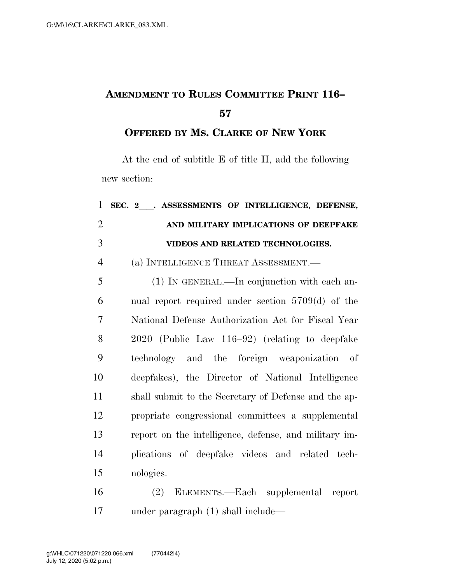## **AMENDMENT TO RULES COMMITTEE PRINT 116–**

**OFFERED BY MS. CLARKE OF NEW YORK**

At the end of subtitle E of title II, add the following new section:

| $\mathbf{1}$   | SEC. 2 . ASSESSMENTS OF INTELLIGENCE, DEFENSE,        |
|----------------|-------------------------------------------------------|
| $\overline{2}$ | AND MILITARY IMPLICATIONS OF DEEPFAKE                 |
| 3              | VIDEOS AND RELATED TECHNOLOGIES.                      |
| $\overline{4}$ | (a) INTELLIGENCE THREAT ASSESSMENT.—                  |
| 5              | (1) IN GENERAL.—In conjunction with each an-          |
| 6              | nual report required under section $5709(d)$ of the   |
| 7              | National Defense Authorization Act for Fiscal Year    |
| 8              | 2020 (Public Law 116–92) (relating to deepfake        |
| 9              | technology and the foreign weaponization of           |
| 10             | deepfakes), the Director of National Intelligence     |
| 11             | shall submit to the Secretary of Defense and the ap-  |
| 12             | propriate congressional committees a supplemental     |
| 13             | report on the intelligence, defense, and military im- |
| 14             | plications of deepfake videos and related tech-       |
| 15             | nologies.                                             |
| 16             | (2) ELEMENTS.—Each supplemental report                |

under paragraph (1) shall include—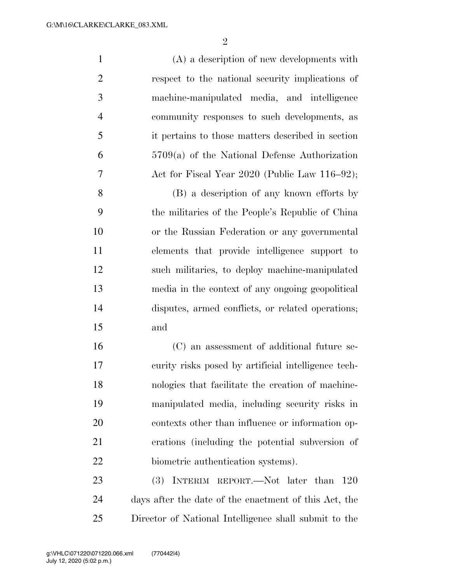(A) a description of new developments with respect to the national security implications of machine-manipulated media, and intelligence community responses to such developments, as it pertains to those matters described in section 5709(a) of the National Defense Authorization 7 Act for Fiscal Year 2020 (Public Law 116–92); (B) a description of any known efforts by the militaries of the People's Republic of China or the Russian Federation or any governmental

 elements that provide intelligence support to such militaries, to deploy machine-manipulated media in the context of any ongoing geopolitical disputes, armed conflicts, or related operations; and

 (C) an assessment of additional future se- curity risks posed by artificial intelligence tech- nologies that facilitate the creation of machine- manipulated media, including security risks in contexts other than influence or information op- erations (including the potential subversion of 22 biometric authentication systems).

23 (3) INTERIM REPORT.—Not later than 120 days after the date of the enactment of this Act, the Director of National Intelligence shall submit to the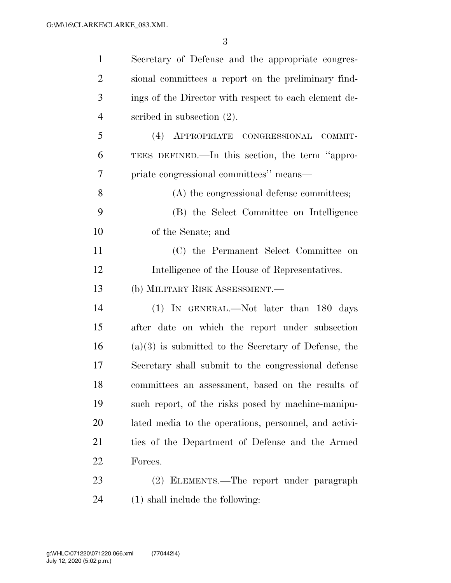| $\mathbf{1}$   | Secretary of Defense and the appropriate congres-      |
|----------------|--------------------------------------------------------|
| $\overline{2}$ | sional committees a report on the preliminary find-    |
| 3              | ings of the Director with respect to each element de-  |
| $\overline{4}$ | scribed in subsection $(2)$ .                          |
| 5              | (4)<br>APPROPRIATE CONGRESSIONAL COMMIT-               |
| 6              | TEES DEFINED.—In this section, the term "appro-        |
| 7              | priate congressional committees" means—                |
| 8              | (A) the congressional defense committees;              |
| 9              | (B) the Select Committee on Intelligence               |
| 10             | of the Senate; and                                     |
| 11             | (C) the Permanent Select Committee on                  |
| 12             | Intelligence of the House of Representatives.          |
| 13             | (b) MILITARY RISK ASSESSMENT.—                         |
| 14             | (1) IN GENERAL.—Not later than 180 days                |
| 15             | after date on which the report under subsection        |
| 16             | $(a)(3)$ is submitted to the Secretary of Defense, the |
| 17             | Secretary shall submit to the congressional defense    |
| 18             | committees an assessment, based on the results of      |
| 19             | such report, of the risks posed by machine-manipu-     |
| 20             | lated media to the operations, personnel, and activi-  |
| 21             | ties of the Department of Defense and the Armed        |
| 22             | Forces.                                                |
| 23             | (2) ELEMENTS.—The report under paragraph               |
| 24             | $(1)$ shall include the following:                     |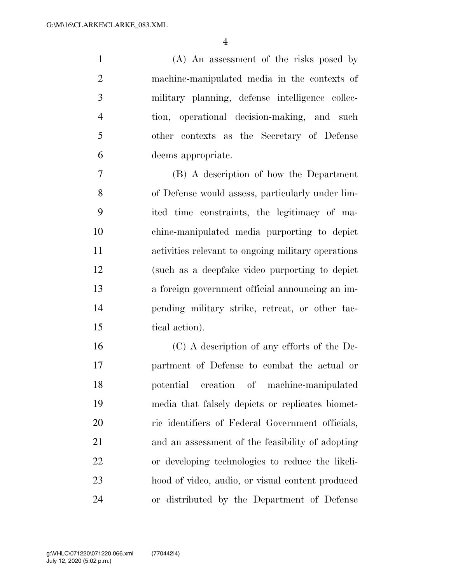(A) An assessment of the risks posed by machine-manipulated media in the contexts of military planning, defense intelligence collec- tion, operational decision-making, and such other contexts as the Secretary of Defense deems appropriate.

 (B) A description of how the Department of Defense would assess, particularly under lim- ited time constraints, the legitimacy of ma- chine-manipulated media purporting to depict activities relevant to ongoing military operations (such as a deepfake video purporting to depict a foreign government official announcing an im- pending military strike, retreat, or other tac-tical action).

 (C) A description of any efforts of the De- partment of Defense to combat the actual or potential creation of machine-manipulated media that falsely depicts or replicates biomet- ric identifiers of Federal Government officials, and an assessment of the feasibility of adopting or developing technologies to reduce the likeli- hood of video, audio, or visual content produced or distributed by the Department of Defense